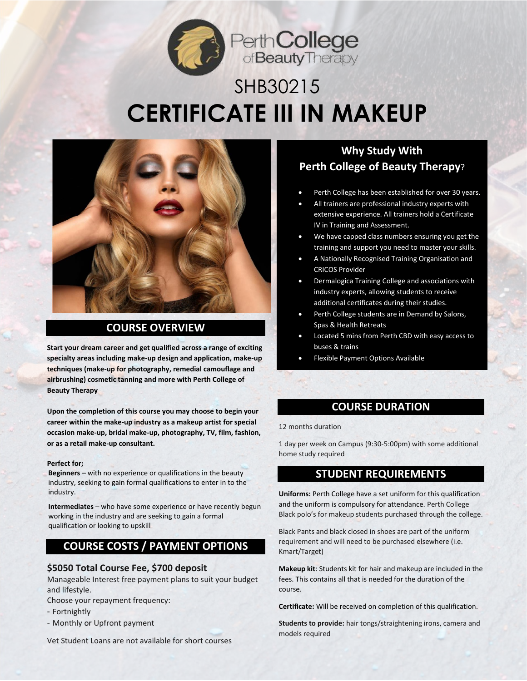

# SHB30215 **CERTIFICATE III IN MAKEUP**



## **COURSE OVERVIEW**

**Start your dream career and get qualified across a range of exciting specialty areas including make-up design and application, make-up techniques (make-up for photography, remedial camouflage and airbrushing) cosmetic tanning and more with Perth College of Beauty Therapy**

**Upon the completion of this course you may choose to begin your career within the make-up industry as a makeup artist for special occasion make-up, bridal make-up, photography, TV, film, fashion, or as a retail make-up consultant.** 

#### **Perfect for;**

**Beginners** – with no experience or qualifications in the beauty industry, seeking to gain formal qualifications to enter in to the industry.

**Intermediates** – who have some experience or have recently begun working in the industry and are seeking to gain a formal qualification or looking to upskill

### **COURSE COSTS / PAYMENT OPTIONS**

#### **\$5050 Total Course Fee, \$700 deposit**

Manageable Interest free payment plans to suit your budget and lifestyle.

Choose your repayment frequency:

- Fortnightly
- Monthly or Upfront payment

Models required Wet Student Loans are not available for short courses W: perthcollege.com.au

## **Why Study With Perth College of Beauty Therapy**?

- Perth College has been established for over 30 years.
- All trainers are professional industry experts with extensive experience. All trainers hold a Certificate IV in Training and Assessment.
- We have capped class numbers ensuring you get the training and support you need to master your skills.
- A Nationally Recognised Training Organisation and CRICOS Provider
- Dermalogica Training College and associations with industry experts, allowing students to receive additional certificates during their studies.
- Perth College students are in Demand by Salons, Spas & Health Retreats
- Located 5 mins from Perth CBD with easy access to buses & trains
- Flexible Payment Options Available

#### • **COURSE DURATION**

#### 12 months duration

1 day per week on Campus (9:30-5:00pm) with some additional home study required

### **STUDENT REQUIREMENTS**

**Uniforms:** Perth College have a set uniform for this qualification and the uniform is compulsory for attendance. Perth College Black polo's for makeup students purchased through the college.

Black Pants and black closed in shoes are part of the uniform requirement and will need to be purchased elsewhere (i.e. Kmart/Target)

**Makeup kit**: Students kit for hair and makeup are included in the fees. This contains all that is needed for the duration of the course.

**Certificate:** Will be received on completion of this qualification.

© Copyrigh[t MVJ Enterprises t/a Perth College of Beauty Therapy, YES College 2](https://training.gov.au/Organisation/Details/0249)018 **Students to provide:** hair tongs/straightening irons, camera and models required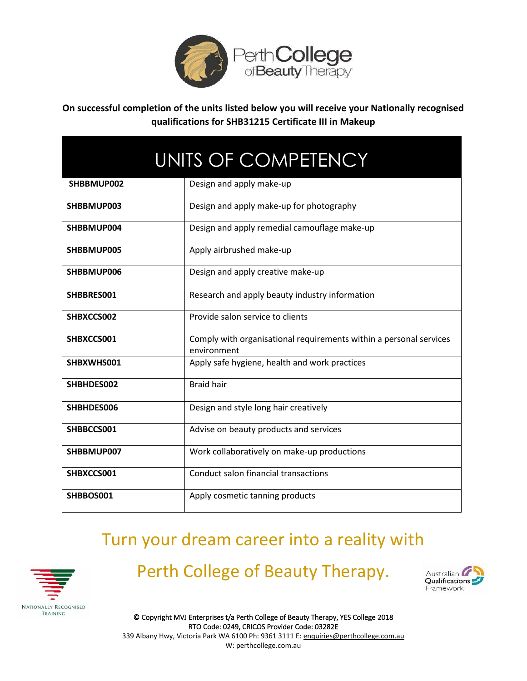

**On successful completion of the units listed below you will receive your Nationally recognised qualifications for SHB31215 Certificate III in Makeup**

| UNITS OF COMPETENCY |                                                                                   |
|---------------------|-----------------------------------------------------------------------------------|
| SHBBMUP002          | Design and apply make-up                                                          |
| SHBBMUP003          | Design and apply make-up for photography                                          |
| SHBBMUP004          | Design and apply remedial camouflage make-up                                      |
| SHBBMUP005          | Apply airbrushed make-up                                                          |
| SHBBMUP006          | Design and apply creative make-up                                                 |
| SHBBRES001          | Research and apply beauty industry information                                    |
| SHBXCCS002          | Provide salon service to clients                                                  |
| SHBXCCS001          | Comply with organisational requirements within a personal services<br>environment |
| SHBXWHS001          | Apply safe hygiene, health and work practices                                     |
| SHBHDES002          | <b>Braid hair</b>                                                                 |
| SHBHDES006          | Design and style long hair creatively                                             |
| SHBBCCS001          | Advise on beauty products and services                                            |
| SHBBMUP007          | Work collaboratively on make-up productions                                       |
| SHBXCCS001          | Conduct salon financial transactions                                              |
| SHBBOS001           | Apply cosmetic tanning products                                                   |

## Turn your dream career into a reality with



## Perth College of Beauty Therapy.



© Copyrigh[t MVJ Enterprises t/a Perth College of Beauty Therapy, YES College 2](https://training.gov.au/Organisation/Details/0249)018 RTO Code: 0249, CRICOS Provider Code: 03282E 339 Albany Hwy, Victoria Park WA 6100 Ph: 9361 3111 E[: enquiries@perthcollege.com.au](mailto:enquiries@perthcollege.com.au) W: perthcollege.com.au